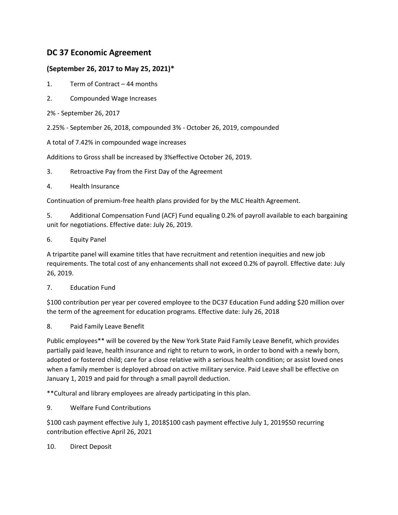## **DC 37 Economic Agreement**

## **(September 26, 2017 to May 25, 2021)\***

- 1. Term of Contract 44 months
- 2. Compounded Wage Increases
- 2% September 26, 2017
- 2.25% September 26, 2018, compounded 3% October 26, 2019, compounded
- A total of 7.42% in compounded wage increases

Additions to Gross shall be increased by 3%effective October 26, 2019.

- 3. Retroactive Pay from the First Day of the Agreement
- 4. Health Insurance

Continuation of premium-free health plans provided for by the MLC Health Agreement.

5. Additional Compensation Fund (ACF) Fund equaling 0.2% of payroll available to each bargaining unit for negotiations. Effective date: July 26, 2019.

6. Equity Panel

A tripartite panel will examine titles that have recruitment and retention inequities and new job requirements. The total cost of any enhancements shall not exceed 0.2% of payroll. Effective date: July 26, 2019.

## 7. Education Fund

\$100 contribution per year per covered employee to the DC37 Education Fund adding \$20 million over the term of the agreement for education programs. Effective date: July 26, 2018

8. Paid Family Leave Benefit

Public employees\*\* will be covered by the New York State Paid Family Leave Benefit, which provides partially paid leave, health insurance and right to return to work, in order to bond with a newly born, adopted or fostered child; care for a close relative with a serious health condition; or assist loved ones when a family member is deployed abroad on active military service. Paid Leave shall be effective on January 1, 2019 and paid for through a small payroll deduction.

\*\*Cultural and library employees are already participating in this plan.

9. Welfare Fund Contributions

\$100 cash payment effective July 1, 2018\$100 cash payment effective July 1, 2019\$50 recurring contribution effective April 26, 2021

10. Direct Deposit